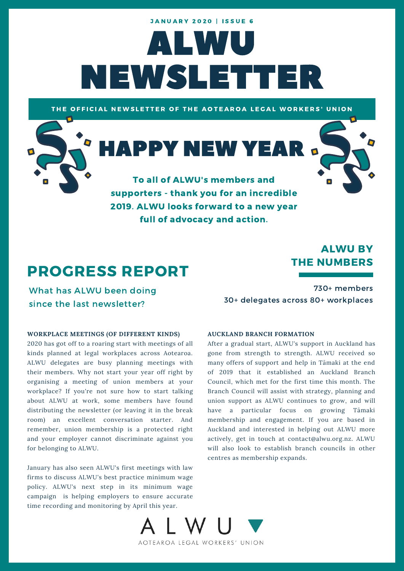# ALWU NEWSLETTER **JANUARY 2020 | ISSUE 6**

THE OFFICIAL NEWSLETTER OF THE AOTEAROA LEGAL WORKERS' UNION

**HAPPY NEW YEAR** 



To all of ALWU's members and supporters - thank you for an incredible 2019. ALWU looks forward to a new year full of advocacy and action.

## PROGRESS REPORT

What has ALWU been doing since the last newsletter?

### ALWU BY THE NUMBERS

730+ members 30+ delegates across 80+ workplaces

#### **WORKPLACE MEETINGS (OF DIFFERENT KINDS)**

2020 has got off to a roaring start with meetings of all kinds planned at legal workplaces across Aotearoa. ALWU delegates are busy planning meetings with their members. Why not start your year off right by organising a meeting of union members at your workplace? If you're not sure how to start talking about ALWU at work, some members have found distributing the newsletter (or leaving it in the break room) an excellent conversation starter. And remember, union membership is a protected right and your employer cannot discriminate against you for belonging to ALWU.

January has also seen ALWU's first meetings with law firms to discuss ALWU's best practice minimum wage policy. ALWU's next step in its minimum wage campaign is helping employers to ensure accurate time recording and monitoring by April this year.

#### **AUCKLAND BRANCH FORMATION**

After a gradual start, ALWU's support in Auckland has gone from strength to strength. ALWU received so many offers of support and help in Tāmaki at the end of 2019 that it established an Auckland Branch Council, which met for the first time this month. The Branch Council will assist with strategy, planning and union support as ALWU continues to grow, and will have a particular focus on growing Tāmaki membership and engagement. If you are based in Auckland and interested in helping out ALWU more actively, get in touch at contact@alwu.org.nz. ALWU will also look to establish branch councils in other centres as membership expands.

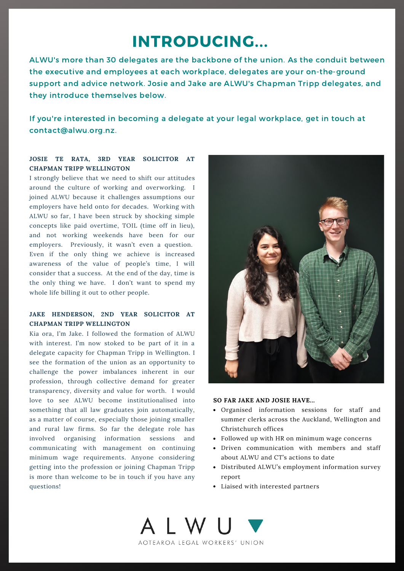### INTRODUCING...

ALWU's more than 30 delegates are the backbone of the union. As the conduit between the executive and employees at each workplace, delegates are your on-the-ground support and advice network. Josie and Jake are ALWU's Chapman Tripp delegates, and they introduce themselves below.

If you're interested in becoming a delegate at your legal workplace, get in touch at contact@alwu.org.nz.

#### **JOSIE TE RATA, 3RD YEAR SOLICITOR AT CHAPMAN TRIPP WELLINGTON**

I strongly believe that we need to shift our attitudes around the culture of working and overworking. I joined ALWU because it challenges assumptions our employers have held onto for decades. Working with ALWU so far, I have been struck by shocking simple concepts like paid overtime, TOIL (time off in lieu), and not working weekends have been for our employers. Previously, it wasn't even a question. Even if the only thing we achieve is increased awareness of the value of people's time, I will consider that a success. At the end of the day, time is the only thing we have. I don't want to spend my whole life billing it out to other people.

#### **JAKE HENDERSON, 2ND YEAR SOLICITOR AT CHAPMAN TRIPP WELLINGTON**

Kia ora, I'm Jake. I followed the formation of ALWU with interest. I'm now stoked to be part of it in a delegate capacity for Chapman Tripp in Wellington. I see the formation of the union as an opportunity to challenge the power imbalances inherent in our profession, through collective demand for greater transparency, diversity and value for worth. I would love to see ALWU become institutionalised into something that all law graduates join automatically, as a matter of course, especially those joining smaller and rural law firms. So far the delegate role has involved organising information sessions and communicating with management on continuing minimum wage requirements. Anyone considering getting into the profession or joining Chapman Tripp is more than welcome to be in touch if you have any questions!



#### **SO FAR JAKE AND JOSIE HAVE...**

- Organised information sessions for staff and summer clerks across the Auckland, Wellington and Christchurch offices
- Followed up with HR on minimum wage concerns
- Driven communication with members and staff about ALWU and CT's actions to date
- Distributed ALWU's employment information survey report
- Liaised with interested partners